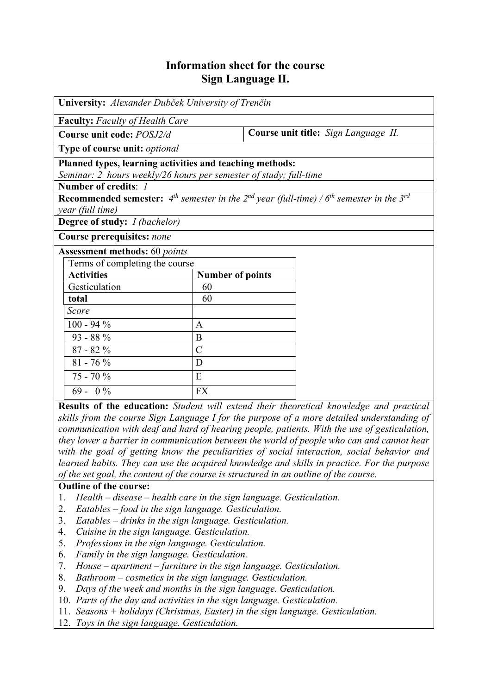# **Information sheet for the course Sign Language II.**

| University: Alexander Dubček University of Trenčín                                                                  |                         |                                      |  |  |  |  |
|---------------------------------------------------------------------------------------------------------------------|-------------------------|--------------------------------------|--|--|--|--|
| <b>Faculty:</b> Faculty of Health Care                                                                              |                         |                                      |  |  |  |  |
| Course unit code: POSJ2/d                                                                                           |                         | Course unit title: Sign Language II. |  |  |  |  |
| Type of course unit: optional                                                                                       |                         |                                      |  |  |  |  |
| Planned types, learning activities and teaching methods:                                                            |                         |                                      |  |  |  |  |
| Seminar: 2 hours weekly/26 hours per semester of study; full-time                                                   |                         |                                      |  |  |  |  |
| Number of credits: 1                                                                                                |                         |                                      |  |  |  |  |
| <b>Recommended semester:</b> $4^{th}$ semester in the $2^{nd}$ year (full-time) / $6^{th}$ semester in the $3^{rd}$ |                         |                                      |  |  |  |  |
| year (full time)                                                                                                    |                         |                                      |  |  |  |  |
| <b>Degree of study:</b> <i>I (bachelor)</i>                                                                         |                         |                                      |  |  |  |  |
| Course prerequisites: none                                                                                          |                         |                                      |  |  |  |  |
| <b>Assessment methods:</b> 60 points                                                                                |                         |                                      |  |  |  |  |
| Terms of completing the course                                                                                      |                         |                                      |  |  |  |  |
| <b>Activities</b>                                                                                                   | <b>Number of points</b> |                                      |  |  |  |  |
| Gesticulation                                                                                                       | 60                      |                                      |  |  |  |  |
| total                                                                                                               | 60                      |                                      |  |  |  |  |
| Score                                                                                                               |                         |                                      |  |  |  |  |
| $100 - 94 %$                                                                                                        | $\mathbf{A}$            |                                      |  |  |  |  |
| $93 - 88\%$                                                                                                         | B                       |                                      |  |  |  |  |
| $87 - 82\%$                                                                                                         | $\overline{C}$          |                                      |  |  |  |  |
| $81 - 76 %$                                                                                                         | D                       |                                      |  |  |  |  |
| $75 - 70%$                                                                                                          | E                       |                                      |  |  |  |  |
| $69 - 0\%$                                                                                                          | <b>FX</b>               |                                      |  |  |  |  |

**Results of the education:** *Student will extend their theoretical knowledge and practical skills from the course Sign Language I for the purpose of a more detailed understanding of communication with deaf and hard of hearing people, patients. With the use of gesticulation, they lower a barrier in communication between the world of people who can and cannot hear with the goal of getting know the peculiarities of social interaction, social behavior and learned habits. They can use the acquired knowledge and skills in practice. For the purpose of the set goal, the content of the course is structured in an outline of the course.*

## **Outline of the course:**

- 1. *Health disease health care in the sign language. Gesticulation.*
- 2. *Eatables food in the sign language. Gesticulation.*
- 3. *Eatables drinks in the sign language. Gesticulation.*
- 4. *Cuisine in the sign language. Gesticulation.*
- 5. *Professions in the sign language. Gesticulation.*
- 6. *Family in the sign language. Gesticulation.*
- 7. *House apartment furniture in the sign language. Gesticulation.*
- 8. *Bathroom cosmetics in the sign language. Gesticulation.*
- 9. *Days of the week and months in the sign language. Gesticulation.*
- 10. *Parts of the day and activities in the sign language. Gesticulation.*
- 11. *Seasons + holidays (Christmas, Easter) in the sign language. Gesticulation.*
- 12. *Toys in the sign language. Gesticulation.*